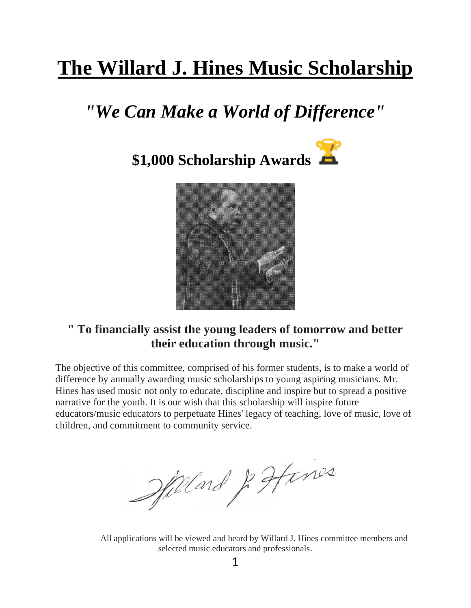# **The Willard J. Hines Music Scholarship**

# *"We Can Make a World of Difference"*





### **" To financially assist the young leaders of tomorrow and better their education through music."**

The objective of this committee, comprised of his former students, is to make a world of difference by annually awarding music scholarships to young aspiring musicians. Mr. Hines has used music not only to educate, discipline and inspire but to spread a positive narrative for the youth. It is our wish that this scholarship will inspire future educators/music educators to perpetuate Hines' legacy of teaching, love of music, love of children, and commitment to community service.

Millard & Hines

 All applications will be viewed and heard by Willard J. Hines committee members and selected music educators and professionals.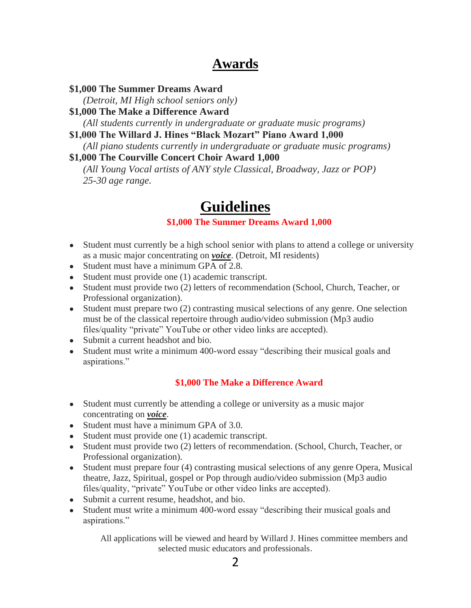### **Awards**

#### **\$1,000 The Summer Dreams Award**

*(Detroit, MI High school seniors only)*

**\$1,000 The Make a Difference Award** 

*(All students currently in undergraduate or graduate music programs)*

**\$1,000 The Willard J. Hines "Black Mozart" Piano Award 1,000** 

*(All piano students currently in undergraduate or graduate music programs)*

#### **\$1,000 The Courville Concert Choir Award 1,000**

*(All Young Vocal artists of ANY style Classical, Broadway, Jazz or POP) 25-30 age range.*

### **Guidelines**

### **\$1,000 The Summer Dreams Award 1,000**

- Student must currently be a high school senior with plans to attend a college or university as a music major concentrating on *voice*. (Detroit, MI residents)
- Student must have a minimum GPA of 2.8.
- Student must provide one (1) academic transcript.
- Student must provide two (2) letters of recommendation (School, Church, Teacher, or Professional organization).
- Student must prepare two (2) contrasting musical selections of any genre. One selection must be of the classical repertoire through audio/video submission (Mp3 audio files/quality "private" YouTube or other video links are accepted).
- Submit a current headshot and bio.
- Student must write a minimum 400-word essay "describing their musical goals and aspirations."

### **\$1,000 The Make a Difference Award**

- Student must currently be attending a college or university as a music major concentrating on *voice*.
- Student must have a minimum GPA of 3.0.
- Student must provide one (1) academic transcript.
- Student must provide two (2) letters of recommendation. (School, Church, Teacher, or Professional organization).
- Student must prepare four (4) contrasting musical selections of any genre Opera, Musical theatre, Jazz, Spiritual, gospel or Pop through audio/video submission (Mp3 audio files/quality, "private" YouTube or other video links are accepted).
- Submit a current resume, headshot, and bio.
- Student must write a minimum 400-word essay "describing their musical goals and aspirations."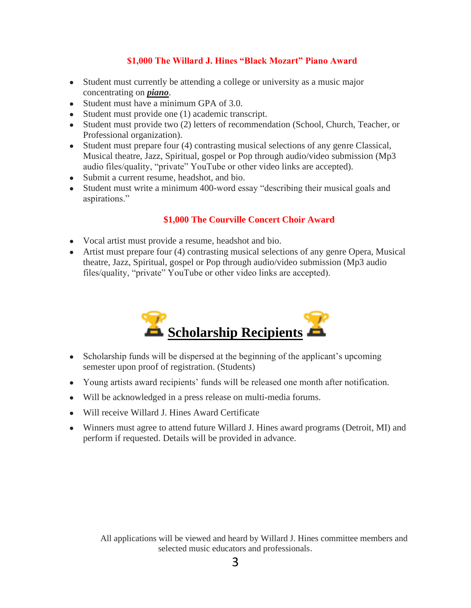#### **\$1,000 The Willard J. Hines "Black Mozart" Piano Award**

- Student must currently be attending a college or university as a music major concentrating on *piano*.
- Student must have a minimum GPA of 3.0.
- Student must provide one (1) academic transcript.
- Student must provide two (2) letters of recommendation (School, Church, Teacher, or Professional organization).
- Student must prepare four (4) contrasting musical selections of any genre Classical, Musical theatre, Jazz, Spiritual, gospel or Pop through audio/video submission (Mp3 audio files/quality, "private" YouTube or other video links are accepted).
- Submit a current resume, headshot, and bio.
- Student must write a minimum 400-word essay "describing their musical goals and aspirations."

#### **\$1,000 The Courville Concert Choir Award**

- Vocal artist must provide a resume, headshot and bio.
- Artist must prepare four (4) contrasting musical selections of any genre Opera, Musical theatre, Jazz, Spiritual, gospel or Pop through audio/video submission (Mp3 audio files/quality, "private" YouTube or other video links are accepted).



- Scholarship funds will be dispersed at the beginning of the applicant's upcoming semester upon proof of registration. (Students)
- Young artists award recipients' funds will be released one month after notification.
- Will be acknowledged in a press release on multi-media forums.
- Will receive Willard J. Hines Award Certificate
- Winners must agree to attend future Willard J. Hines award programs (Detroit, MI) and perform if requested. Details will be provided in advance.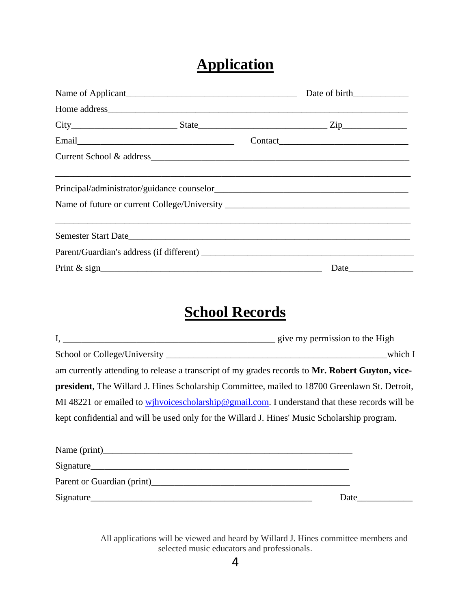### **Application**

| Name of Applicant<br><u>Name of Applicant</u> |      |  |
|-----------------------------------------------|------|--|
|                                               |      |  |
|                                               |      |  |
|                                               |      |  |
| Current School & address                      |      |  |
|                                               |      |  |
|                                               |      |  |
|                                               |      |  |
|                                               | Date |  |

# **School Records**

|                                                                                                       | which I |
|-------------------------------------------------------------------------------------------------------|---------|
| am currently attending to release a transcript of my grades records to Mr. Robert Guyton, vice-       |         |
| <b>president</b> , The Willard J. Hines Scholarship Committee, mailed to 18700 Greenlawn St. Detroit, |         |
| MI 48221 or emailed to wihvoices cholarship@gmail.com. I understand that these records will be        |         |
| kept confidential and will be used only for the Willard J. Hines' Music Scholarship program.          |         |
|                                                                                                       |         |
|                                                                                                       |         |
| Signature                                                                                             |         |
|                                                                                                       |         |
| Signature                                                                                             | Date    |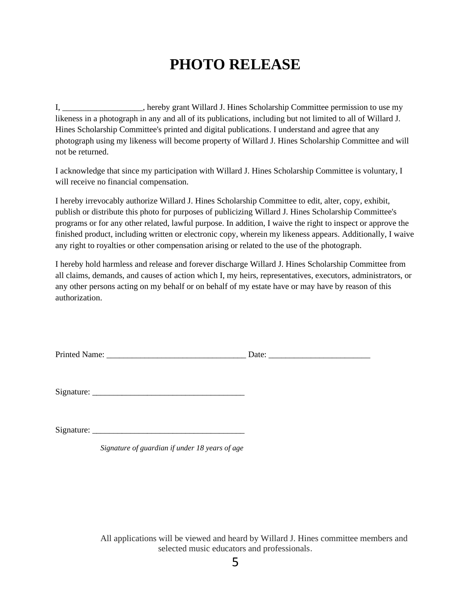## **PHOTO RELEASE**

I, \_\_\_\_\_\_\_\_\_\_\_\_\_\_\_\_\_\_\_, hereby grant Willard J. Hines Scholarship Committee permission to use my likeness in a photograph in any and all of its publications, including but not limited to all of Willard J. Hines Scholarship Committee's printed and digital publications. I understand and agree that any photograph using my likeness will become property of Willard J. Hines Scholarship Committee and will not be returned.

I acknowledge that since my participation with Willard J. Hines Scholarship Committee is voluntary, I will receive no financial compensation.

I hereby irrevocably authorize Willard J. Hines Scholarship Committee to edit, alter, copy, exhibit, publish or distribute this photo for purposes of publicizing Willard J. Hines Scholarship Committee's programs or for any other related, lawful purpose. In addition, I waive the right to inspect or approve the finished product, including written or electronic copy, wherein my likeness appears. Additionally, I waive any right to royalties or other compensation arising or related to the use of the photograph.

I hereby hold harmless and release and forever discharge Willard J. Hines Scholarship Committee from all claims, demands, and causes of action which I, my heirs, representatives, executors, administrators, or any other persons acting on my behalf or on behalf of my estate have or may have by reason of this authorization.

|  | <b>Printed Name:</b> | ate |
|--|----------------------|-----|
|--|----------------------|-----|

 $Sigma:$   $\Box$ 

 $Signature:$ 

*Signature of guardian if under 18 years of age*